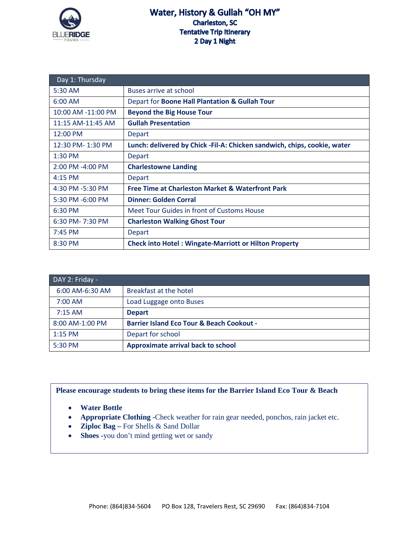

| Day 1: Thursday    |                                                                           |
|--------------------|---------------------------------------------------------------------------|
| 5:30 AM            | Buses arrive at school                                                    |
| $6:00$ AM          | Depart for Boone Hall Plantation & Gullah Tour                            |
| 10:00 AM -11:00 PM | <b>Beyond the Big House Tour</b>                                          |
| 11:15 AM-11:45 AM  | <b>Gullah Presentation</b>                                                |
| 12:00 PM           | Depart                                                                    |
| 12:30 PM-1:30 PM   | Lunch: delivered by Chick - Fil-A: Chicken sandwich, chips, cookie, water |
| $1:30$ PM          | <b>Depart</b>                                                             |
| 2:00 PM -4:00 PM   | <b>Charlestowne Landing</b>                                               |
| 4:15 PM            | <b>Depart</b>                                                             |
| 4:30 PM -5:30 PM   | <b>Free Time at Charleston Market &amp; Waterfront Park</b>               |
| 5:30 PM -6:00 PM   | <b>Dinner: Golden Corral</b>                                              |
| 6:30 PM            | Meet Tour Guides in front of Customs House                                |
| 6:30 PM-7:30 PM    | <b>Charleston Walking Ghost Tour</b>                                      |
| $7:45$ PM          | <b>Depart</b>                                                             |
| 8:30 PM            | <b>Check into Hotel: Wingate-Marriott or Hilton Property</b>              |

| DAY 2: Friday - |                                                      |
|-----------------|------------------------------------------------------|
| 6:00 AM-6:30 AM | Breakfast at the hotel                               |
| $7:00$ AM       | Load Luggage onto Buses                              |
| $7:15$ AM       | <b>Depart</b>                                        |
| 8:00 AM-1:00 PM | <b>Barrier Island Eco Tour &amp; Beach Cookout -</b> |
| $1:15$ PM       | Depart for school                                    |
| 5:30 PM         | Approximate arrival back to school                   |

## **Please encourage students to bring these items for the Barrier Island Eco Tour & Beach**

- **Water Bottle**
- **Appropriate Clothing -**Check weather for rain gear needed, ponchos, rain jacket etc.
- **Ziploc Bag –** For Shells & Sand Dollar
- **Shoes** -you don't mind getting wet or sandy